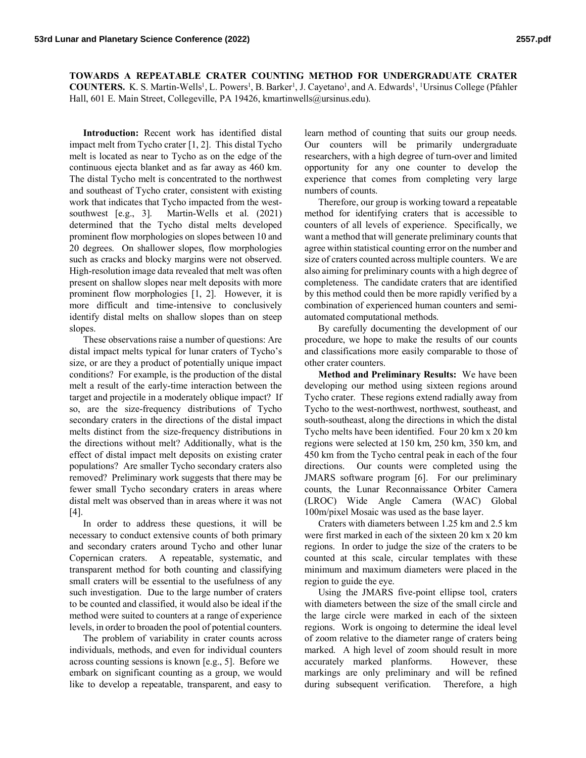**TOWARDS A REPEATABLE CRATER COUNTING METHOD FOR UNDERGRADUATE CRATER COUNTERS.** K. S. Martin-Wells<sup>1</sup>, L. Powers<sup>1</sup>, B. Barker<sup>1</sup>, J. Cayetano<sup>1</sup>, and A. Edwards<sup>1</sup>, <sup>1</sup>Ursinus College (Pfahler Hall, 601 E. Main Street, Collegeville, PA 19426, kmartinwells@ursinus.edu).

**Introduction:** Recent work has identified distal impact melt from Tycho crater [1, 2]. This distal Tycho melt is located as near to Tycho as on the edge of the continuous ejecta blanket and as far away as 460 km. The distal Tycho melt is concentrated to the northwest and southeast of Tycho crater, consistent with existing work that indicates that Tycho impacted from the westsouthwest [e.g., 3]. Martin-Wells et al. (2021) determined that the Tycho distal melts developed prominent flow morphologies on slopes between 10 and 20 degrees. On shallower slopes, flow morphologies such as cracks and blocky margins were not observed. High-resolution image data revealed that melt was often present on shallow slopes near melt deposits with more prominent flow morphologies [1, 2]. However, it is more difficult and time-intensive to conclusively identify distal melts on shallow slopes than on steep slopes.

These observations raise a number of questions: Are distal impact melts typical for lunar craters of Tycho's size, or are they a product of potentially unique impact conditions? For example, is the production of the distal melt a result of the early-time interaction between the target and projectile in a moderately oblique impact? If so, are the size-frequency distributions of Tycho secondary craters in the directions of the distal impact melts distinct from the size-frequency distributions in the directions without melt? Additionally, what is the effect of distal impact melt deposits on existing crater populations? Are smaller Tycho secondary craters also removed? Preliminary work suggests that there may be fewer small Tycho secondary craters in areas where distal melt was observed than in areas where it was not [4].

In order to address these questions, it will be necessary to conduct extensive counts of both primary and secondary craters around Tycho and other lunar Copernican craters. A repeatable, systematic, and transparent method for both counting and classifying small craters will be essential to the usefulness of any such investigation. Due to the large number of craters to be counted and classified, it would also be ideal if the method were suited to counters at a range of experience levels, in order to broaden the pool of potential counters.

The problem of variability in crater counts across individuals, methods, and even for individual counters across counting sessions is known [e.g., 5]. Before we embark on significant counting as a group, we would like to develop a repeatable, transparent, and easy to

learn method of counting that suits our group needs. Our counters will be primarily undergraduate researchers, with a high degree of turn-over and limited opportunity for any one counter to develop the experience that comes from completing very large numbers of counts.

Therefore, our group is working toward a repeatable method for identifying craters that is accessible to counters of all levels of experience. Specifically, we want a method that will generate preliminary counts that agree within statistical counting error on the number and size of craters counted across multiple counters. We are also aiming for preliminary counts with a high degree of completeness. The candidate craters that are identified by this method could then be more rapidly verified by a combination of experienced human counters and semiautomated computational methods.

By carefully documenting the development of our procedure, we hope to make the results of our counts and classifications more easily comparable to those of other crater counters.

**Method and Preliminary Results:** We have been developing our method using sixteen regions around Tycho crater. These regions extend radially away from Tycho to the west-northwest, northwest, southeast, and south-southeast, along the directions in which the distal Tycho melts have been identified. Four 20 km x 20 km regions were selected at 150 km, 250 km, 350 km, and 450 km from the Tycho central peak in each of the four directions. Our counts were completed using the JMARS software program [6]. For our preliminary counts, the Lunar Reconnaissance Orbiter Camera (LROC) Wide Angle Camera (WAC) Global 100m/pixel Mosaic was used as the base layer.

Craters with diameters between 1.25 km and 2.5 km were first marked in each of the sixteen 20 km x 20 km regions. In order to judge the size of the craters to be counted at this scale, circular templates with these minimum and maximum diameters were placed in the region to guide the eye.

Using the JMARS five-point ellipse tool, craters with diameters between the size of the small circle and the large circle were marked in each of the sixteen regions. Work is ongoing to determine the ideal level of zoom relative to the diameter range of craters being marked. A high level of zoom should result in more accurately marked planforms. However, these markings are only preliminary and will be refined during subsequent verification. Therefore, a high